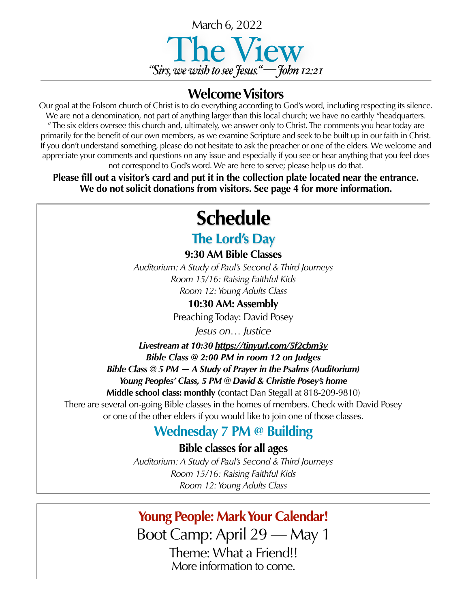

#### **Welcome Visitors**

Our goal at the Folsom church of Christ is to do everything according to God's word, including respecting its silence. We are not a denomination, not part of anything larger than this local church; we have no earthly "headquarters. " The six elders oversee this church and, ultimately, we answer only to Christ. The comments you hear today are primarily for the benefit of our own members, as we examine Scripture and seek to be built up in our faith in Christ. If you don't understand something, please do not hesitate to ask the preacher or one of the elders. We welcome and appreciate your comments and questions on any issue and especially if you see or hear anything that you feel does not correspond to God's word. We are here to serve; please help us do that.

**Please fill out a visitor's card and put it in the collection plate located near the entrance. We do not solicit donations from visitors. See page 4 for more information.**

## **Schedule**

#### **The Lord's Day**

**9:30 AM Bible Classes**

*Auditorium: A Study of Paul's Second & Third Journeys Room 15/16: Raising Faithful Kids Room 12: Young Adults Class*

**10:30 AM: Assembly**

Preaching Today: David Posey

*Jesus on… Justice*

*Livestream at 10:30 <https://tinyurl.com/5f2cbm3y> Bible Class @ 2:00 PM in room 12 on Judges Bible Class @ 5 PM — A Study of Prayer in the Psalms (Auditorium) Young Peoples' Class, 5 PM @ David & Christie Posey's home* 

**Middle school class: monthly (**contact Dan Stegall at 818-209-9810)

There are several on-going Bible classes in the homes of members. Check with David Posey or one of the other elders if you would like to join one of those classes.

### **Wednesday 7 PM @ Building**

**Bible classes for all ages**

*Auditorium: A Study of Paul's Second & Third Journeys Room 15/16: Raising Faithful Kids Room 12: Young Adults Class*

#### **Young People: Mark Your Calendar!**

Boot Camp: April 29 — May 1 Theme: What a Friend!! More information to come.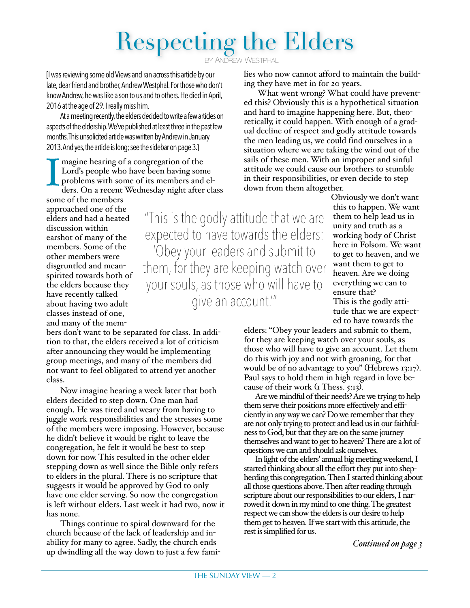# Respecting the Elders

BY ANDREW WESTPHAL

[I was reviewing some old Views and ran across this article by our late, dear friend and brother, Andrew Westphal. For those who don't know Andrew, he was like a son to us and to others. He died in April, 2016 at the age of 29. I really miss him.

At a meeting recently, the elders decided to write a few articles on aspects of the eldership. We've published at least three in the past few months. This unsolicited article was written by Andrew in January 2013. And yes, the article is long; see the sidebar on page 3.]

I magine hearing of a congregation of the Lord's people who have been having some problems with some of its members and elders. On a recent Wednesday night after class lies who now cannot afford to maintain the building they have met in for 20 years.

What went wrong? What could have prevented this? Obviously this is a hypothetical situation and hard to imagine happening here. But, theoretically, it could happen. With enough of a gradual decline of respect and godly attitude towards the men leading us, we could find ourselves in a situation where we are taking the wind out of the sails of these men. With an improper and sinful attitude we could cause our brothers to stumble in their responsibilities, or even decide to step down from them altogether.

some of the members approached one of the elders and had a heated discussion within earshot of many of the members. Some of the other members were disgruntled and meanspirited towards both of the elders because they have recently talked about having two adult classes instead of one, and many of the mem-

bers don't want to be separated for class. In addition to that, the elders received a lot of criticism after announcing they would be implementing group meetings, and many of the members did not want to feel obligated to attend yet another class.

Now imagine hearing a week later that both elders decided to step down. One man had enough. He was tired and weary from having to juggle work responsibilities and the stresses some of the members were imposing. However, because he didn't believe it would be right to leave the congregation, he felt it would be best to step down for now. This resulted in the other elder stepping down as well since the Bible only refers to elders in the plural. There is no scripture that suggests it would be approved by God to only have one elder serving. So now the congregation is left without elders. Last week it had two, now it has none.

Things continue to spiral downward for the church because of the lack of leadership and inability for many to agree. Sadly, the church ends up dwindling all the way down to just a few fami-

"This is the godly attitude that we are expected to have towards the elders: 'Obey your leaders and submit to them, for they are keeping watch over your souls, as those who will have to give an account.'"

Obviously we don't want this to happen. We want them to help lead us in unity and truth as a working body of Christ here in Folsom. We want to get to heaven, and we want them to get to heaven. Are we doing everything we can to ensure that? This is the godly attitude that we are expected to have towards the

elders: "Obey your leaders and submit to them, for they are keeping watch over your souls, as those who will have to give an account. Let them do this with joy and not with groaning, for that would be of no advantage to you" (Hebrews 13:17). Paul says to hold them in high regard in love because of their work (1 Thess. 5:13).

Are we mindful of their needs? Are we trying to help them serve their positions more effectively and efficiently in any way we can? Do we remember that they are not only trying to protect and lead us in our faithfulness to God, but that they are on the same journey themselves and want to get to heaven? There are a lot of questions we can and should ask ourselves.

In light of the elders' annual big meeting weekend, I started thinking about all the effort they put into shepherding this congregation. Then I started thinking about all those questions above. Then after reading through scripture about our responsibilities to our elders, I narrowed it down in my mind to one thing. The greatest respect we can show the elders is our desire to help them get to heaven. If we start with this attitude, the rest is simplified for us.

*Continued on page 3*